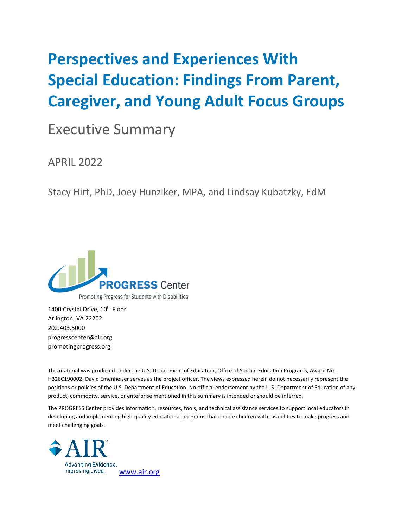# **Perspectives and Experiences With Special Education: Findings From Parent, Caregiver, and Young Adult Focus Groups**

## Executive Summary

APRIL 2022

Stacy Hirt, PhD, Joey Hunziker, MPA, and Lindsay Kubatzky, EdM



1400 Crystal Drive, 10<sup>th</sup> Floor Arlington, VA 22202 202.403.5000 progresscenter@air.org promotingprogress.org

This material was produced under the U.S. Department of Education, Office of Special Education Programs, Award No. H326C190002. David Emenheiser serves as the project officer. The views expressed herein do not necessarily represent the positions or policies of the U.S. Department of Education. No official endorsement by the U.S. Department of Education of any product, commodity, service, or enterprise mentioned in this summary is intended or should be inferred.

The PROGRESS Center provides information, resources, tools, and technical assistance services to support local educators in developing and implementing high-quality educational programs that enable children with disabilities to make progress and meet challenging goals.

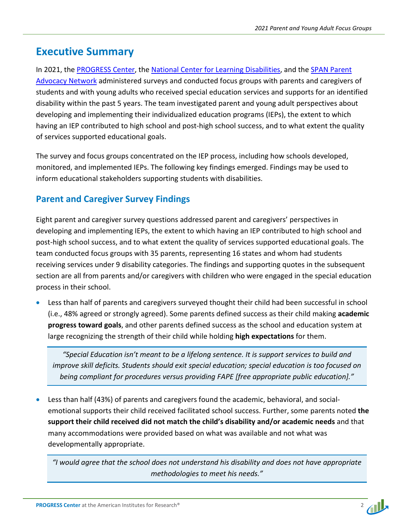### **Executive Summary**

In 2021, the [PROGRESS Center,](https://promotingprogress.org/) the [National Center for Learning Disabilities,](https://www.ncld.org/) and the [SPAN Parent](https://spanadvocacy.org/)  [Advocacy Network](https://spanadvocacy.org/) administered surveys and conducted focus groups with parents and caregivers of students and with young adults who received special education services and supports for an identified disability within the past 5 years. The team investigated parent and young adult perspectives about developing and implementing their individualized education programs (IEPs), the extent to which having an IEP contributed to high school and post-high school success, and to what extent the quality of services supported educational goals.

The survey and focus groups concentrated on the IEP process, including how schools developed, monitored, and implemented IEPs. The following key findings emerged. Findings may be used to inform educational stakeholders supporting students with disabilities.

### **Parent and Caregiver Survey Findings**

Eight parent and caregiver survey questions addressed parent and caregivers' perspectives in developing and implementing IEPs, the extent to which having an IEP contributed to high school and post-high school success, and to what extent the quality of services supported educational goals. The team conducted focus groups with 35 parents, representing 16 states and whom had students receiving services under 9 disability categories. The findings and supporting quotes in the subsequent section are all from parents and/or caregivers with children who were engaged in the special education process in their school.

• Less than half of parents and caregivers surveyed thought their child had been successful in school (i.e., 48% agreed or strongly agreed). Some parents defined success as their child making **academic progress toward goals**, and other parents defined success as the school and education system at large recognizing the strength of their child while holding **high expectations** for them.

*"Special Education isn't meant to be a lifelong sentence. It is support services to build and improve skill deficits. Students should exit special education; special education is too focused on being compliant for procedures versus providing FAPE [free appropriate public education]."*

• Less than half (43%) of parents and caregivers found the academic, behavioral, and socialemotional supports their child received facilitated school success. Further, some parents noted **the support their child received did not match the child's disability and/or academic needs** and that many accommodations were provided based on what was available and not what was developmentally appropriate.

*"I would agree that the school does not understand his disability and does not have appropriate methodologies to meet his needs."*

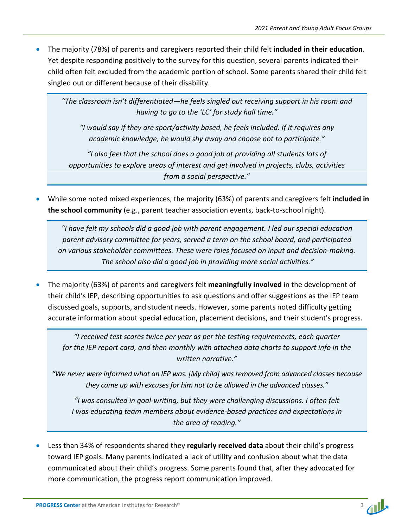• The majority (78%) of parents and caregivers reported their child felt **included in their education**. Yet despite responding positively to the survey for this question, several parents indicated their child often felt excluded from the academic portion of school. Some parents shared their child felt singled out or different because of their disability.

*"The classroom isn't differentiated—he feels singled out receiving support in his room and having to go to the 'LC' for study hall time."*

*"I would say if they are sport/activity based, he feels included. If it requires any academic knowledge, he would shy away and choose not to participate."* 

*"I also feel that the school does a good job at providing all students lots of opportunities to explore areas of interest and get involved in projects, clubs, activities from a social perspective."*

• While some noted mixed experiences, the majority (63%) of parents and caregivers felt **included in the school community** (e.g., parent teacher association events, back-to-school night).

*"I have felt my schools did a good job with parent engagement. I led our special education parent advisory committee for years, served a term on the school board, and participated on various stakeholder committees. These were roles focused on input and decision-making. The school also did a good job in providing more social activities."* 

• The majority (63%) of parents and caregivers felt **meaningfully involved** in the development of their child's IEP, describing opportunities to ask questions and offer suggestions as the IEP team discussed goals, supports, and student needs. However, some parents noted difficulty getting accurate information about special education, placement decisions, and their student's progress.

*"I received test scores twice per year as per the testing requirements, each quarter for the IEP report card, and then monthly with attached data charts to support info in the written narrative."*

*"We never were informed what an IEP was. [My child] was removed from advanced classes because they came up with excuses for him not to be allowed in the advanced classes."*

*"I was consulted in goal-writing, but they were challenging discussions. I often felt I was educating team members about evidence-based practices and expectations in the area of reading."*

• Less than 34% of respondents shared they **regularly received data** about their child's progress toward IEP goals. Many parents indicated a lack of utility and confusion about what the data communicated about their child's progress. Some parents found that, after they advocated for more communication, the progress report communication improved.

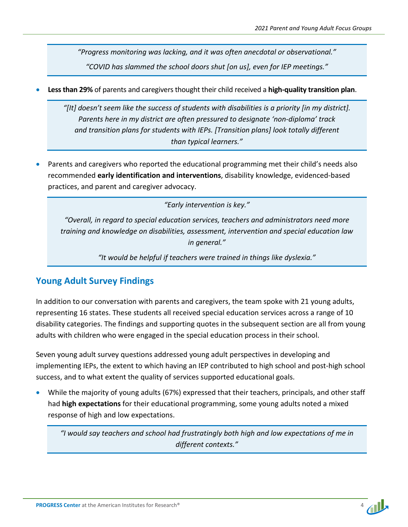*"Progress monitoring was lacking, and it was often anecdotal or observational." "COVID has slammed the school doors shut [on us], even for IEP meetings."*

• **Less than 29%** of parents and caregivers thought their child received a **high-quality transition plan**.

*"[It] doesn't seem like the success of students with disabilities is a priority [in my district]. Parents here in my district are often pressured to designate 'non-diploma' track and transition plans for students with IEPs. [Transition plans] look totally different than typical learners."*

• Parents and caregivers who reported the educational programming met their child's needs also recommended **early identification and interventions**, disability knowledge, evidenced-based practices, and parent and caregiver advocacy.

*"Early intervention is key."*

*"Overall, in regard to special education services, teachers and administrators need more training and knowledge on disabilities, assessment, intervention and special education law in general."*

*"It would be helpful if teachers were trained in things like dyslexia."*

#### **Young Adult Survey Findings**

In addition to our conversation with parents and caregivers, the team spoke with 21 young adults, representing 16 states. These students all received special education services across a range of 10 disability categories. The findings and supporting quotes in the subsequent section are all from young adults with children who were engaged in the special education process in their school.

Seven young adult survey questions addressed young adult perspectives in developing and implementing IEPs, the extent to which having an IEP contributed to high school and post-high school success, and to what extent the quality of services supported educational goals.

• While the majority of young adults (67%) expressed that their teachers, principals, and other staff had **high expectations** for their educational programming, some young adults noted a mixed response of high and low expectations.

*"I would say teachers and school had frustratingly both high and low expectations of me in different contexts."*

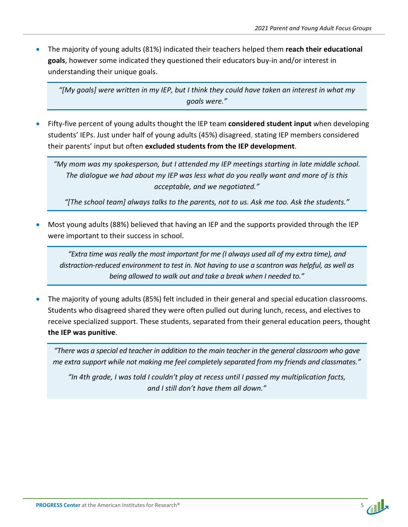• The majority of young adults (81%) indicated their teachers helped them **reach their educational goals**, however some indicated they questioned their educators buy-in and/or interest in understanding their unique goals.

*"[My goals] were written in my IEP, but I think they could have taken an interest in what my goals were."*

• Fifty-five percent of young adults thought the IEP team **considered student input** when developing students' IEPs. Just under half of young adults (45%) disagreed, stating IEP members considered their parents' input but often **excluded students from the IEP development**.

*"My mom was my spokesperson, but I attended my IEP meetings starting in late middle school. The dialogue we had about my IEP was less what do you really want and more of is this acceptable, and we negotiated."*

*"[The school team] always talks to the parents, not to us. Ask me too. Ask the students."*

• Most young adults (88%) believed that having an IEP and the supports provided through the IEP were important to their success in school.

*"Extra time was really the most important for me (I always used all of my extra time), and distraction-reduced environment to test in. Not having to use a scantron was helpful, as well as being allowed to walk out and take a break when I needed to."*

• The majority of young adults (85%) felt included in their general and special education classrooms. Students who disagreed shared they were often pulled out during lunch, recess, and electives to receive specialized support. These students, separated from their general education peers, thought **the IEP was punitive**.

*"There was a special ed teacher in addition to the main teacher in the general classroom who gave me extra support while not making me feel completely separated from my friends and classmates."*

*"In 4th grade, I was told I couldn't play at recess until I passed my multiplication facts, and I still don't have them all down."*

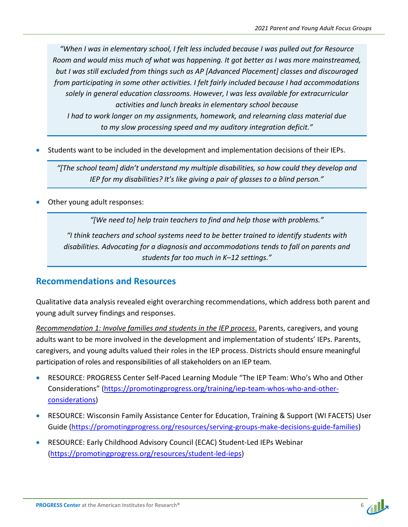*"When I was in elementary school, I felt less included because I was pulled out for Resource Room and would miss much of what was happening. It got better as I was more mainstreamed, but I was still excluded from things such as AP [Advanced Placement] classes and discouraged from participating in some other activities. I felt fairly included because I had accommodations solely in general education classrooms. However, I was less available for extracurricular activities and lunch breaks in elementary school because I had to work longer on my assignments, homework, and relearning class material due to my slow processing speed and my auditory integration deficit."*

• Students want to be included in the development and implementation decisions of their IEPs.

*"[The school team] didn't understand my multiple disabilities, so how could they develop and IEP for my disabilities? It's like giving a pair of glasses to a blind person."*

Other young adult responses:

*"[We need to] help train teachers to find and help those with problems."*

*"I think teachers and school systems need to be better trained to identify students with disabilities. Advocating for a diagnosis and accommodations tends to fall on parents and students far too much in K–12 settings."*

#### **Recommendations and Resources**

Qualitative data analysis revealed eight overarching recommendations, which address both parent and young adult survey findings and responses.

*Recommendation 1: Involve families and students in the IEP process*. Parents, caregivers, and young adults want to be more involved in the development and implementation of students' IEPs. Parents, caregivers, and young adults valued their roles in the IEP process. Districts should ensure meaningful participation of roles and responsibilities of all stakeholders on an IEP team.

- RESOURCE: PROGRESS Center Self-Paced Learning Module "The IEP Team: Who's Who and Other Considerations" [\(https://promotingprogress.org/training/iep-team-whos-who-and-other](https://promotingprogress.org/training/iep-team-whos-who-and-other-considerations)[considerations\)](https://promotingprogress.org/training/iep-team-whos-who-and-other-considerations)
- RESOURCE: Wisconsin Family Assistance Center for Education, Training & Support (WI FACETS) User Guide [\(https://promotingprogress.org/resources/serving-groups-make-decisions-guide-families\)](https://promotingprogress.org/resources/serving-groups-make-decisions-guide-families)
- RESOURCE: Early Childhood Advisory Council (ECAC) Student-Led IEPs Webinar [\(https://promotingprogress.org/resources/student-led-ieps\)](https://promotingprogress.org/resources/student-led-ieps)

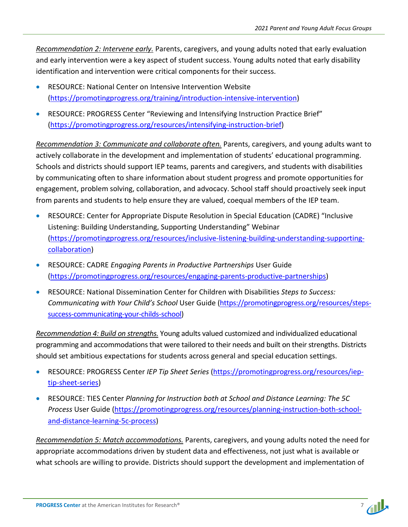*Recommendation 2: Intervene early.* Parents, caregivers, and young adults noted that early evaluation and early intervention were a key aspect of student success. Young adults noted that early disability identification and intervention were critical components for their success.

- RESOURCE: National Center on Intensive Intervention Website [\(https://promotingprogress.org/training/introduction-intensive-intervention\)](https://promotingprogress.org/training/introduction-intensive-intervention)
- RESOURCE: PROGRESS Center "Reviewing and Intensifying Instruction Practice Brief" [\(https://promotingprogress.org/resources/intensifying-instruction-brief\)](https://promotingprogress.org/resources/intensifying-instruction-brief)

*Recommendation 3: Communicate and collaborate often.* Parents, caregivers, and young adults want to actively collaborate in the development and implementation of students' educational programming. Schools and districts should support IEP teams, parents and caregivers, and students with disabilities by communicating often to share information about student progress and promote opportunities for engagement, problem solving, collaboration, and advocacy. School staff should proactively seek input from parents and students to help ensure they are valued, coequal members of the IEP team.

- RESOURCE: Center for Appropriate Dispute Resolution in Special Education (CADRE) "Inclusive Listening: Building Understanding, Supporting Understanding" Webinar [\(https://promotingprogress.org/resources/inclusive-listening-building-understanding-supporting](https://promotingprogress.org/resources/inclusive-listening-building-understanding-supporting-collaboration)[collaboration\)](https://promotingprogress.org/resources/inclusive-listening-building-understanding-supporting-collaboration)
- RESOURCE: CADRE *Engaging Parents in Productive Partnerships* User Guide [\(https://promotingprogress.org/resources/engaging-parents-productive-partnerships\)](https://promotingprogress.org/resources/engaging-parents-productive-partnerships)
- RESOURCE: National Dissemination Center for Children with Disabilities *Steps to Success: Communicating with Your Child's School* User Guide [\(https://promotingprogress.org/resources/steps](https://promotingprogress.org/resources/steps-success-communicating-your-childs-school)[success-communicating-your-childs-school\)](https://promotingprogress.org/resources/steps-success-communicating-your-childs-school)

*Recommendation 4: Build on strengths.* Young adults valued customized and individualized educational programming and accommodations that were tailored to their needs and built on their strengths. Districts should set ambitious expectations for students across general and special education settings.

- RESOURCE: PROGRESS Center *IEP Tip Sheet Series* [\(https://promotingprogress.org/resources/iep](https://promotingprogress.org/resources/iep-tip-sheet-series)[tip-sheet-series\)](https://promotingprogress.org/resources/iep-tip-sheet-series)
- RESOURCE: TIES Center *Planning for Instruction both at School and Distance Learning: The 5C Process* User Guide [\(https://promotingprogress.org/resources/planning-instruction-both-school](https://promotingprogress.org/resources/planning-instruction-both-school-and-distance-learning-5c-process)[and-distance-learning-5c-process\)](https://promotingprogress.org/resources/planning-instruction-both-school-and-distance-learning-5c-process)

*Recommendation 5: Match accommodations.* Parents, caregivers, and young adults noted the need for appropriate accommodations driven by student data and effectiveness, not just what is available or what schools are willing to provide. Districts should support the development and implementation of

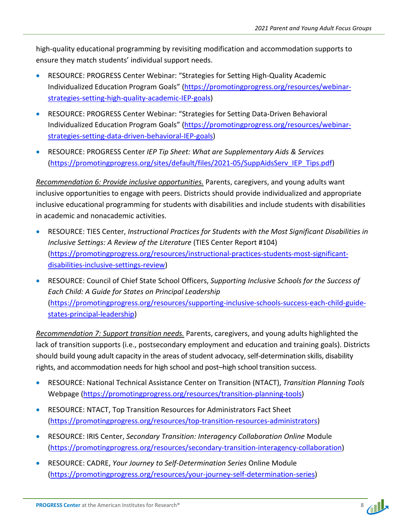high-quality educational programming by revisiting modification and accommodation supports to ensure they match students' individual support needs.

- RESOURCE: PROGRESS Center Webinar: "Strategies for Setting High-Quality Academic Individualized Education Program Goals" [\(https://promotingprogress.org/resources/webinar](https://promotingprogress.org/resources/webinar-strategies-setting-high-quality-academic-IEP-goals)[strategies-setting-high-quality-academic-IEP-goals\)](https://promotingprogress.org/resources/webinar-strategies-setting-high-quality-academic-IEP-goals)
- RESOURCE: PROGRESS Center Webinar: "Strategies for Setting Data-Driven Behavioral Individualized Education Program Goals" [\(https://promotingprogress.org/resources/webinar](https://promotingprogress.org/resources/webinar-strategies-setting-data-driven-behavioral-IEP-goals)[strategies-setting-data-driven-behavioral-IEP-goals\)](https://promotingprogress.org/resources/webinar-strategies-setting-data-driven-behavioral-IEP-goals)
- RESOURCE: PROGRESS Center *IEP Tip Sheet: What are Supplementary Aids & Services* [\(https://promotingprogress.org/sites/default/files/2021-05/SuppAidsServ\\_IEP\\_Tips.pdf\)](https://promotingprogress.org/sites/default/files/2021-05/SuppAidsServ_IEP_Tips.pdf)

*Recommendation 6: Provide inclusive opportunities.* Parents, caregivers, and young adults want inclusive opportunities to engage with peers. Districts should provide individualized and appropriate inclusive educational programming for students with disabilities and include students with disabilities in academic and nonacademic activities.

- RESOURCE: TIES Center, *Instructional Practices for Students with the Most Significant Disabilities in Inclusive Settings: A Review of the Literature* (TIES Center Report #104) [\(https://promotingprogress.org/resources/instructional-practices-students-most-significant](https://promotingprogress.org/resources/instructional-practices-students-most-significant-disabilities-inclusive-settings-review)[disabilities-inclusive-settings-review\)](https://promotingprogress.org/resources/instructional-practices-students-most-significant-disabilities-inclusive-settings-review)
- RESOURCE: Council of Chief State School Officers, *Supporting Inclusive Schools for the Success of Each Child: A Guide for States on Principal Leadership* [\(https://promotingprogress.org/resources/supporting-inclusive-schools-success-each-child-guide](https://promotingprogress.org/resources/supporting-inclusive-schools-success-each-child-guide-states-principal-leadership)[states-principal-leadership\)](https://promotingprogress.org/resources/supporting-inclusive-schools-success-each-child-guide-states-principal-leadership)

*Recommendation 7: Support transition needs.* Parents, caregivers, and young adults highlighted the lack of transition supports (i.e., postsecondary employment and education and training goals). Districts should build young adult capacity in the areas of student advocacy, self-determination skills, disability rights, and accommodation needs for high school and post–high school transition success.

- RESOURCE: National Technical Assistance Center on Transition (NTACT), *Transition Planning Tools* Webpage [\(https://promotingprogress.org/resources/transition-planning-tools\)](https://promotingprogress.org/resources/transition-planning-tools)
- RESOURCE: NTACT, Top Transition Resources for Administrators Fact Sheet [\(https://promotingprogress.org/resources/top-transition-resources-administrators\)](https://promotingprogress.org/resources/top-transition-resources-administrators)
- RESOURCE: IRIS Center, *Secondary Transition: Interagency Collaboration Online* Module [\(https://promotingprogress.org/resources/secondary-transition-interagency-collaboration\)](https://promotingprogress.org/resources/secondary-transition-interagency-collaboration)
- RESOURCE: CADRE, *Your Journey to Self-Determination Series* Online Module [\(https://promotingprogress.org/resources/your-journey-self-determination-series\)](https://promotingprogress.org/resources/your-journey-self-determination-series)

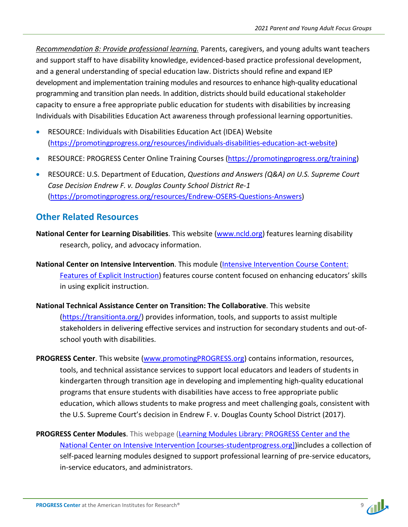*Recommendation 8: Provide professional learning.* Parents, caregivers, and young adults want teachers and support staff to have disability knowledge, evidenced-based practice professional development, and a general understanding of special education law. Districts should refine and expand IEP development and implementation training modules and resources to enhance high-quality educational programming and transition plan needs. In addition, districts should build educational stakeholder capacity to ensure a free appropriate public education for students with disabilities by increasing Individuals with Disabilities Education Act awareness through professional learning opportunities.

- RESOURCE: Individuals with Disabilities Education Act (IDEA) Website [\(https://promotingprogress.org/resources/individuals-disabilities-education-act-website\)](https://promotingprogress.org/resources/individuals-disabilities-education-act-website)
- RESOURCE: PROGRESS Center Online Training Courses [\(https://promotingprogress.org/training\)](https://promotingprogress.org/training)
- RESOURCE: U.S. Department of Education, *Questions and Answers (Q&A) on U.S. Supreme Court Case Decision Endrew F. v. Douglas County School District Re-1* [\(https://promotingprogress.org/resources/Endrew-OSERS-Questions-Answers\)](https://promotingprogress.org/resources/Endrew-OSERS-Questions-Answers)

#### **Other Related Resources**

- **National Center for Learning Disabilities**. This website [\(www.ncld.org\)](http://www.ncld.org/) features learning disability research, policy, and advocacy information.
- **National Center on Intensive Intervention**. This module [\(Intensive Intervention Course Content:](https://nam10.safelinks.protection.outlook.com/?url=https%3A%2F%2Fintensiveintervention.org%2Ftraining%2Fcourse-content%2Fexplicit-instruction&data=04%7C01%7Cshirt%40air.org%7Cd56d82d46af74bc1fd3708d9ea70d45f%7C9ea45dbc7b724abfa77cc770a0a8b962%7C0%7C0%7C637798592583218123%7CUnknown%7CTWFpbGZsb3d8eyJWIjoiMC4wLjAwMDAiLCJQIjoiV2luMzIiLCJBTiI6Ik1haWwiLCJXVCI6Mn0%3D%7C3000&sdata=vxS4o8gJxfiiPyS%2B51YXjaaHMWmt1qP%2Fi9G%2FBf8r1Vo%3D&reserved=0)  [Features of Explicit Instruction\)](https://nam10.safelinks.protection.outlook.com/?url=https%3A%2F%2Fintensiveintervention.org%2Ftraining%2Fcourse-content%2Fexplicit-instruction&data=04%7C01%7Cshirt%40air.org%7Cd56d82d46af74bc1fd3708d9ea70d45f%7C9ea45dbc7b724abfa77cc770a0a8b962%7C0%7C0%7C637798592583218123%7CUnknown%7CTWFpbGZsb3d8eyJWIjoiMC4wLjAwMDAiLCJQIjoiV2luMzIiLCJBTiI6Ik1haWwiLCJXVCI6Mn0%3D%7C3000&sdata=vxS4o8gJxfiiPyS%2B51YXjaaHMWmt1qP%2Fi9G%2FBf8r1Vo%3D&reserved=0) features course content focused on enhancing educators' skills in using explicit instruction.
- **National Technical Assistance Center on Transition: The Collaborative**. This website [\(https://transitionta.org/\)](https://transitionta.org/) provides information, tools, and supports to assist multiple stakeholders in delivering effective services and instruction for secondary students and out-ofschool youth with disabilities.
- **PROGRESS Center**. This website [\(www.promotingPROGRESS.org\)](http://www.promotingprogress.org/) contains information, resources, tools, and technical assistance services to support local educators and leaders of students in kindergarten through transition age in developing and implementing high-quality educational programs that ensure students with disabilities have access to free appropriate public education, which allows students to make progress and meet challenging goals, consistent with the U.S. Supreme Court's decision in Endrew F. v. Douglas County School District (2017).
- **PROGRESS Center Modules**. This webpage [\(Learning Modules Library: PROGRESS Center and the](https://nam10.safelinks.protection.outlook.com/?url=https%3A%2F%2Fcourses-studentprogress.org%2F%3Fredirect%3D0&data=04%7C01%7Cshirt%40air.org%7C0e7acf193a754840f23f08d9e814d303%7C9ea45dbc7b724abfa77cc770a0a8b962%7C0%7C0%7C637795998695255805%7CUnknown%7CTWFpbGZsb3d8eyJWIjoiMC4wLjAwMDAiLCJQIjoiV2luMzIiLCJBTiI6Ik1haWwiLCJXVCI6Mn0%3D%7C3000&sdata=tif%2Bm77ge%2Bv1pn2K0Uwh6a7i5AM9jowzV5JhYnTGpac%3D&reserved=0)  [National Center on Intensive Intervention \[courses-studentprogress.org\]\)](https://nam10.safelinks.protection.outlook.com/?url=https%3A%2F%2Fcourses-studentprogress.org%2F%3Fredirect%3D0&data=04%7C01%7Cshirt%40air.org%7C0e7acf193a754840f23f08d9e814d303%7C9ea45dbc7b724abfa77cc770a0a8b962%7C0%7C0%7C637795998695255805%7CUnknown%7CTWFpbGZsb3d8eyJWIjoiMC4wLjAwMDAiLCJQIjoiV2luMzIiLCJBTiI6Ik1haWwiLCJXVCI6Mn0%3D%7C3000&sdata=tif%2Bm77ge%2Bv1pn2K0Uwh6a7i5AM9jowzV5JhYnTGpac%3D&reserved=0)includes a collection of self-paced learning modules designed to support professional learning of pre-service educators, in-service educators, and administrators.